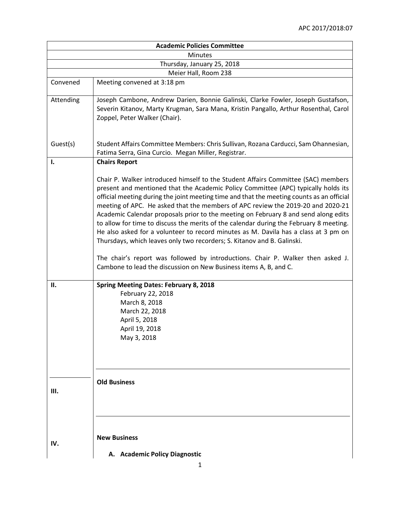| <b>Academic Policies Committee</b> |                                                                                                                                                                                                                                                                                                                                                                                                                                                                                                                                                                                                                                                                                                            |  |
|------------------------------------|------------------------------------------------------------------------------------------------------------------------------------------------------------------------------------------------------------------------------------------------------------------------------------------------------------------------------------------------------------------------------------------------------------------------------------------------------------------------------------------------------------------------------------------------------------------------------------------------------------------------------------------------------------------------------------------------------------|--|
| <b>Minutes</b>                     |                                                                                                                                                                                                                                                                                                                                                                                                                                                                                                                                                                                                                                                                                                            |  |
| Thursday, January 25, 2018         |                                                                                                                                                                                                                                                                                                                                                                                                                                                                                                                                                                                                                                                                                                            |  |
|                                    | Meier Hall, Room 238                                                                                                                                                                                                                                                                                                                                                                                                                                                                                                                                                                                                                                                                                       |  |
| Convened                           | Meeting convened at 3:18 pm                                                                                                                                                                                                                                                                                                                                                                                                                                                                                                                                                                                                                                                                                |  |
| Attending                          | Joseph Cambone, Andrew Darien, Bonnie Galinski, Clarke Fowler, Joseph Gustafson,<br>Severin Kitanov, Marty Krugman, Sara Mana, Kristin Pangallo, Arthur Rosenthal, Carol<br>Zoppel, Peter Walker (Chair).                                                                                                                                                                                                                                                                                                                                                                                                                                                                                                  |  |
| Guest(s)                           | Student Affairs Committee Members: Chris Sullivan, Rozana Carducci, Sam Ohannesian,<br>Fatima Serra, Gina Curcio. Megan Miller, Registrar.                                                                                                                                                                                                                                                                                                                                                                                                                                                                                                                                                                 |  |
| 1.                                 | <b>Chairs Report</b>                                                                                                                                                                                                                                                                                                                                                                                                                                                                                                                                                                                                                                                                                       |  |
|                                    | Chair P. Walker introduced himself to the Student Affairs Committee (SAC) members<br>present and mentioned that the Academic Policy Committee (APC) typically holds its<br>official meeting during the joint meeting time and that the meeting counts as an official<br>meeting of APC. He asked that the members of APC review the 2019-20 and 2020-21<br>Academic Calendar proposals prior to the meeting on February 8 and send along edits<br>to allow for time to discuss the merits of the calendar during the February 8 meeting.<br>He also asked for a volunteer to record minutes as M. Davila has a class at 3 pm on<br>Thursdays, which leaves only two recorders; S. Kitanov and B. Galinski. |  |
|                                    | The chair's report was followed by introductions. Chair P. Walker then asked J.<br>Cambone to lead the discussion on New Business items A, B, and C.                                                                                                                                                                                                                                                                                                                                                                                                                                                                                                                                                       |  |
| П.                                 | <b>Spring Meeting Dates: February 8, 2018</b><br>February 22, 2018<br>March 8, 2018<br>March 22, 2018<br>April 5, 2018<br>April 19, 2018<br>May 3, 2018                                                                                                                                                                                                                                                                                                                                                                                                                                                                                                                                                    |  |
| Ш.                                 | <b>Old Business</b>                                                                                                                                                                                                                                                                                                                                                                                                                                                                                                                                                                                                                                                                                        |  |
| IV.                                | <b>New Business</b><br>A. Academic Policy Diagnostic                                                                                                                                                                                                                                                                                                                                                                                                                                                                                                                                                                                                                                                       |  |